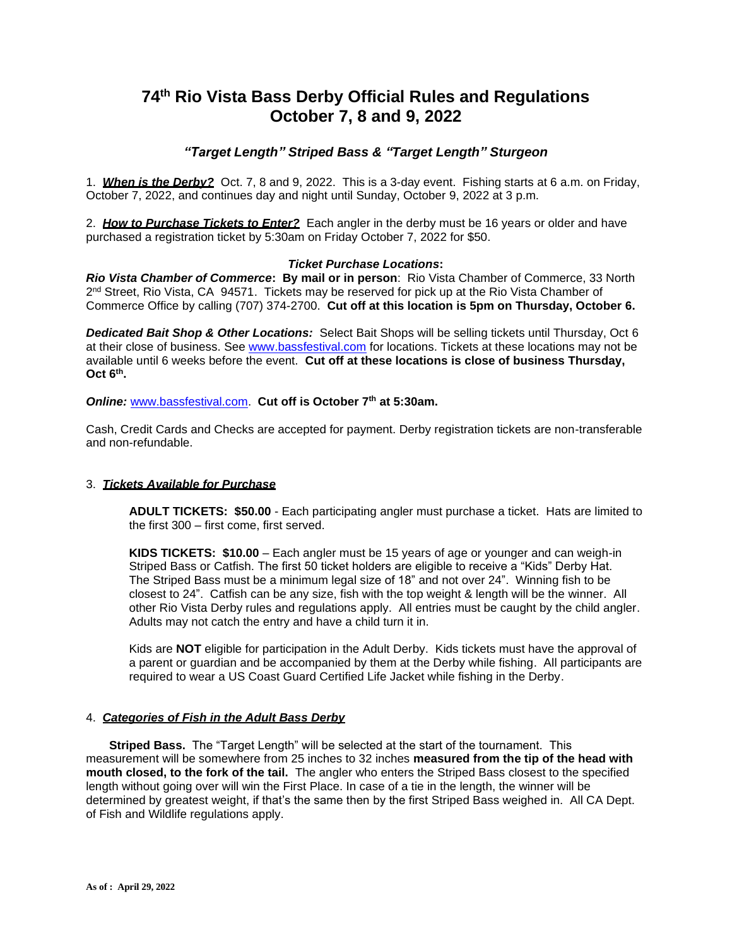# **74 th Rio Vista Bass Derby Official Rules and Regulations October 7, 8 and 9, 2022**

# *"Target Length" Striped Bass & "Target Length" Sturgeon*

1. *When is the Derby?* Oct. 7, 8 and 9, 2022. This is a 3-day event. Fishing starts at 6 a.m. on Friday, October 7, 2022, and continues day and night until Sunday, October 9, 2022 at 3 p.m.

2. *How to Purchase Tickets to Enter?* Each angler in the derby must be 16 years or older and have purchased a registration ticket by 5:30am on Friday October 7, 2022 for \$50.

#### *Ticket Purchase Locations***:**

*Rio Vista Chamber of Commerce***: By mail or in person**: Rio Vista Chamber of Commerce, 33 North 2<sup>nd</sup> Street, Rio Vista, CA 94571. Tickets may be reserved for pick up at the Rio Vista Chamber of Commerce Office by calling (707) 374-2700. **Cut off at this location is 5pm on Thursday, October 6.**

*Dedicated Bait Shop & Other Locations:* Select Bait Shops will be selling tickets until Thursday, Oct 6 at their close of business. See [www.bassfestival.com](http://www.bassfestival.com/) for locations. Tickets at these locations may not be available until 6 weeks before the event. **Cut off at these locations is close of business Thursday, Oct 6 th .**

*Online:* [www.bassfestival.com.](http://www.bassfestival.com/) **Cut off is October 7 th at 5:30am.** 

Cash, Credit Cards and Checks are accepted for payment. Derby registration tickets are non-transferable and non-refundable.

# 3. *Tickets Available for Purchase*

**ADULT TICKETS: \$50.00** - Each participating angler must purchase a ticket. Hats are limited to the first 300 – first come, first served.

**KIDS TICKETS: \$10.00** – Each angler must be 15 years of age or younger and can weigh-in Striped Bass or Catfish. The first 50 ticket holders are eligible to receive a "Kids" Derby Hat. The Striped Bass must be a minimum legal size of 18" and not over 24". Winning fish to be closest to 24". Catfish can be any size, fish with the top weight & length will be the winner. All other Rio Vista Derby rules and regulations apply. All entries must be caught by the child angler. Adults may not catch the entry and have a child turn it in.

Kids are **NOT** eligible for participation in the Adult Derby. Kids tickets must have the approval of a parent or guardian and be accompanied by them at the Derby while fishing. All participants are required to wear a US Coast Guard Certified Life Jacket while fishing in the Derby.

#### 4. *Categories of Fish in the Adult Bass Derby*

 **Striped Bass.** The "Target Length" will be selected at the start of the tournament. This measurement will be somewhere from 25 inches to 32 inches **measured from the tip of the head with mouth closed, to the fork of the tail.** The angler who enters the Striped Bass closest to the specified length without going over will win the First Place. In case of a tie in the length, the winner will be determined by greatest weight, if that's the same then by the first Striped Bass weighed in. All CA Dept. of Fish and Wildlife regulations apply.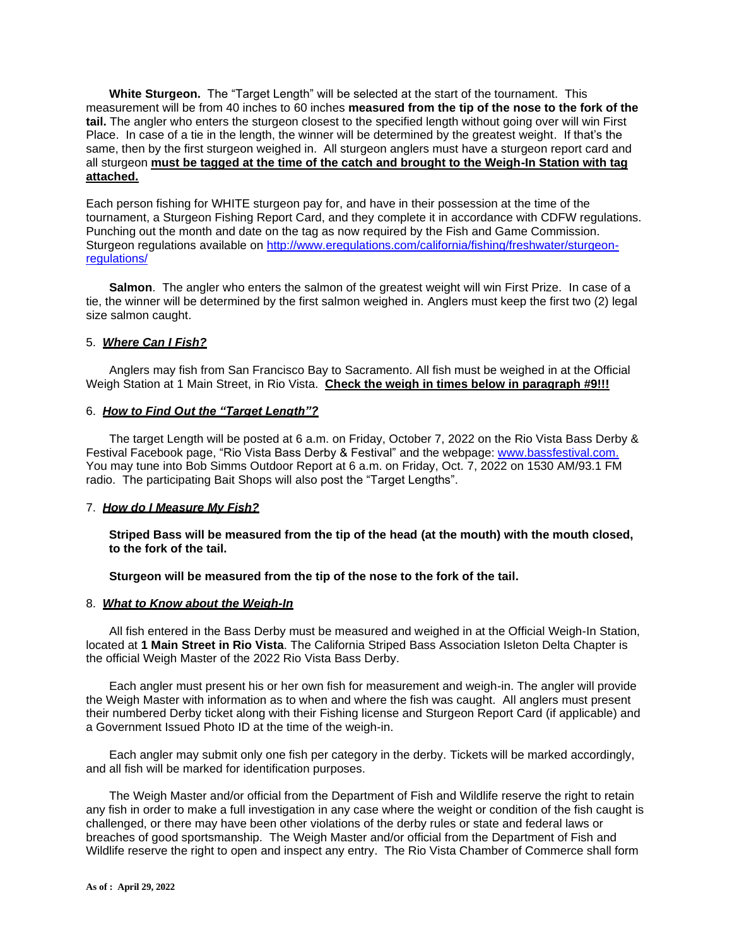**White Sturgeon.** The "Target Length" will be selected at the start of the tournament. This measurement will be from 40 inches to 60 inches **measured from the tip of the nose to the fork of the tail.** The angler who enters the sturgeon closest to the specified length without going over will win First Place. In case of a tie in the length, the winner will be determined by the greatest weight. If that's the same, then by the first sturgeon weighed in. All sturgeon anglers must have a sturgeon report card and all sturgeon **must be tagged at the time of the catch and brought to the Weigh-In Station with tag attached.**

Each person fishing for WHITE sturgeon pay for, and have in their possession at the time of the tournament, a Sturgeon Fishing Report Card, and they complete it in accordance with CDFW regulations. Punching out the month and date on the tag as now required by the Fish and Game Commission. Sturgeon regulations available on [http://www.eregulations.com/california/fishing/freshwater/sturgeon](http://www.eregulations.com/california/fishing/freshwater/sturgeon-regulations/)[regulations/](http://www.eregulations.com/california/fishing/freshwater/sturgeon-regulations/)

 **Salmon**. The angler who enters the salmon of the greatest weight will win First Prize. In case of a tie, the winner will be determined by the first salmon weighed in. Anglers must keep the first two (2) legal size salmon caught.

# 5. *Where Can I Fish?*

 Anglers may fish from San Francisco Bay to Sacramento. All fish must be weighed in at the Official Weigh Station at 1 Main Street, in Rio Vista. **Check the weigh in times below in paragraph #9!!!**

#### 6. *How to Find Out the "Target Length"?*

 The target Length will be posted at 6 a.m. on Friday, October 7, 2022 on the Rio Vista Bass Derby & Festival Facebook page, "Rio Vista Bass Derby & Festival" and the webpage: [www.bassfestival.com.](http://www.bassfestival.com/) You may tune into Bob Simms Outdoor Report at 6 a.m. on Friday, Oct. 7, 2022 on 1530 AM/93.1 FM radio. The participating Bait Shops will also post the "Target Lengths".

#### 7. *How do I Measure My Fish?*

**Striped Bass will be measured from the tip of the head (at the mouth) with the mouth closed, to the fork of the tail.**

#### **Sturgeon will be measured from the tip of the nose to the fork of the tail.**

#### 8. *What to Know about the Weigh-In*

 All fish entered in the Bass Derby must be measured and weighed in at the Official Weigh-In Station, located at **1 Main Street in Rio Vista**. The California Striped Bass Association Isleton Delta Chapter is the official Weigh Master of the 2022 Rio Vista Bass Derby.

 Each angler must present his or her own fish for measurement and weigh-in. The angler will provide the Weigh Master with information as to when and where the fish was caught. All anglers must present their numbered Derby ticket along with their Fishing license and Sturgeon Report Card (if applicable) and a Government Issued Photo ID at the time of the weigh-in.

 Each angler may submit only one fish per category in the derby. Tickets will be marked accordingly, and all fish will be marked for identification purposes.

 The Weigh Master and/or official from the Department of Fish and Wildlife reserve the right to retain any fish in order to make a full investigation in any case where the weight or condition of the fish caught is challenged, or there may have been other violations of the derby rules or state and federal laws or breaches of good sportsmanship. The Weigh Master and/or official from the Department of Fish and Wildlife reserve the right to open and inspect any entry. The Rio Vista Chamber of Commerce shall form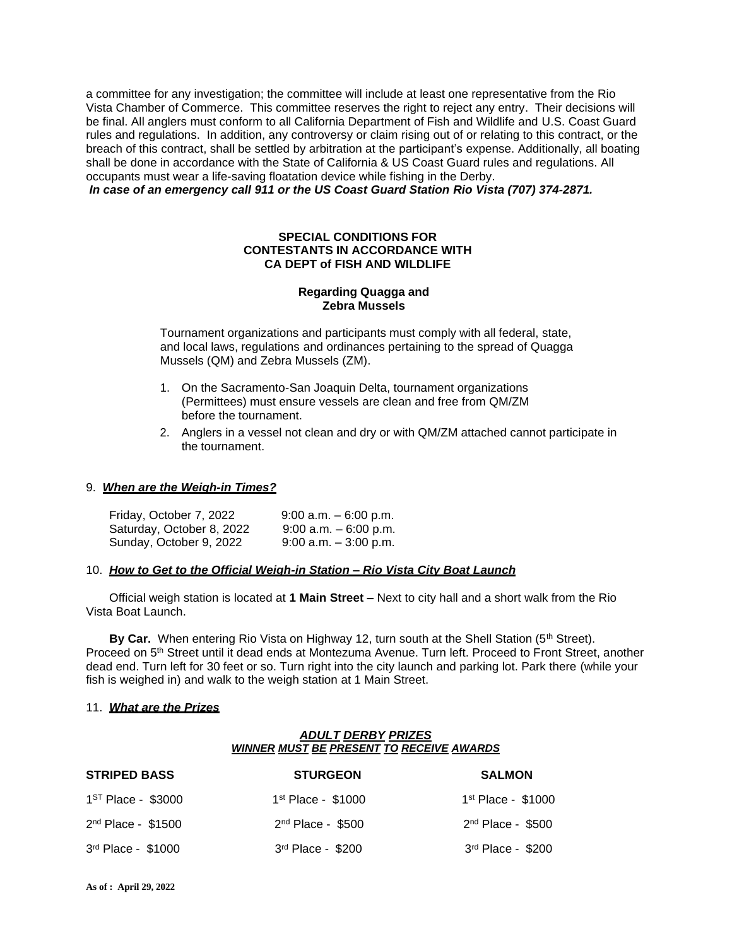a committee for any investigation; the committee will include at least one representative from the Rio Vista Chamber of Commerce. This committee reserves the right to reject any entry. Their decisions will be final. All anglers must conform to all California Department of Fish and Wildlife and U.S. Coast Guard rules and regulations. In addition, any controversy or claim rising out of or relating to this contract, or the breach of this contract, shall be settled by arbitration at the participant's expense. Additionally, all boating shall be done in accordance with the State of California & US Coast Guard rules and regulations. All occupants must wear a life-saving floatation device while fishing in the Derby.

*In case of an emergency call 911 or the US Coast Guard Station Rio Vista (707) 374-2871.* 

# **SPECIAL CONDITIONS FOR CONTESTANTS IN ACCORDANCE WITH CA DEPT of FISH AND WILDLIFE**

### **Regarding Quagga and Zebra Mussels**

Tournament organizations and participants must comply with all federal, state, and local laws, regulations and ordinances pertaining to the spread of Quagga Mussels (QM) and Zebra Mussels (ZM).

- 1. On the Sacramento-San Joaquin Delta, tournament organizations (Permittees) must ensure vessels are clean and free from QM/ZM before the tournament.
- 2. Anglers in a vessel not clean and dry or with QM/ZM attached cannot participate in the tournament.

#### 9. *When are the Weigh-in Times?*

| Friday, October 7, 2022   | $9:00$ a.m. $-6:00$ p.m. |
|---------------------------|--------------------------|
| Saturday, October 8, 2022 | $9:00$ a.m. $-6:00$ p.m. |
| Sunday, October 9, 2022   | $9:00$ a.m. $-3:00$ p.m. |

#### 10. *How to Get to the Official Weigh-in Station – Rio Vista City Boat Launch*

 Official weigh station is located at **1 Main Street –** Next to city hall and a short walk from the Rio Vista Boat Launch.

By Car. When entering Rio Vista on Highway 12, turn south at the Shell Station (5<sup>th</sup> Street). Proceed on 5th Street until it dead ends at Montezuma Avenue. Turn left. Proceed to Front Street, another dead end. Turn left for 30 feet or so. Turn right into the city launch and parking lot. Park there (while your fish is weighed in) and walk to the weigh station at 1 Main Street.

#### 11. *What are the Prizes*

# *ADULT DERBY PRIZES WINNER MUST BE PRESENT TO RECEIVE AWARDS*

| <b>STRIPED BASS</b>            | <b>STURGEON</b>      | <b>SALMON</b>       |
|--------------------------------|----------------------|---------------------|
| 1 <sup>ST</sup> Place - \$3000 | $1st$ Place - \$1000 | 1st Place - \$1000  |
| $2nd$ Place - \$1500           | $2nd$ Place - \$500  | $2nd$ Place - \$500 |
| 3rd Place - \$1000             | $3rd$ Place - \$200  | 3rd Place - \$200   |